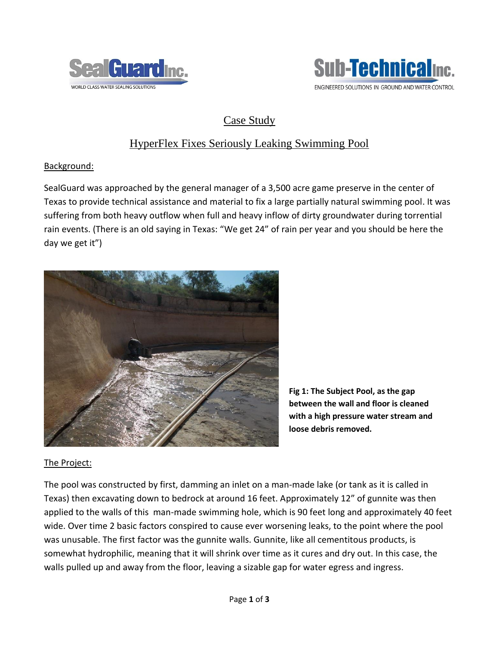



# Case Study

## HyperFlex Fixes Seriously Leaking Swimming Pool

### Background:

SealGuard was approached by the general manager of a 3,500 acre game preserve in the center of Texas to provide technical assistance and material to fix a large partially natural swimming pool. It was suffering from both heavy outflow when full and heavy inflow of dirty groundwater during torrential rain events. (There is an old saying in Texas: "We get 24" of rain per year and you should be here the day we get it")



**Fig 1: The Subject Pool, as the gap between the wall and floor is cleaned with a high pressure water stream and loose debris removed.**

### The Project:

The pool was constructed by first, damming an inlet on a man-made lake (or tank as it is called in Texas) then excavating down to bedrock at around 16 feet. Approximately 12" of gunnite was then applied to the walls of this man-made swimming hole, which is 90 feet long and approximately 40 feet wide. Over time 2 basic factors conspired to cause ever worsening leaks, to the point where the pool was unusable. The first factor was the gunnite walls. Gunnite, like all cementitous products, is somewhat hydrophilic, meaning that it will shrink over time as it cures and dry out. In this case, the walls pulled up and away from the floor, leaving a sizable gap for water egress and ingress.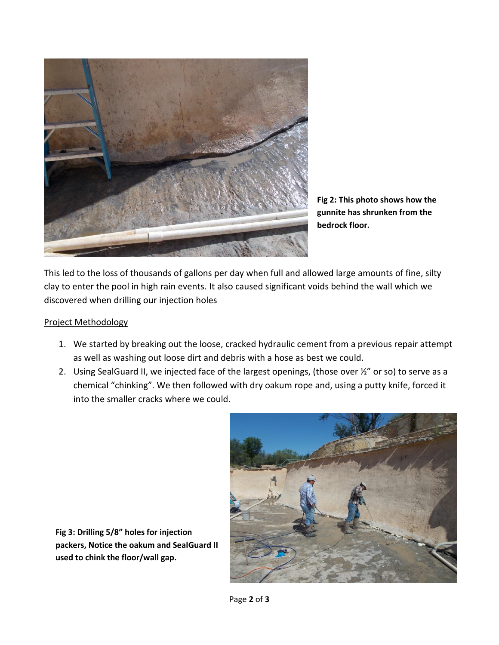

**Fig 2: This photo shows how the gunnite has shrunken from the bedrock floor.**

This led to the loss of thousands of gallons per day when full and allowed large amounts of fine, silty clay to enter the pool in high rain events. It also caused significant voids behind the wall which we discovered when drilling our injection holes

#### Project Methodology

- 1. We started by breaking out the loose, cracked hydraulic cement from a previous repair attempt as well as washing out loose dirt and debris with a hose as best we could.
- 2. Using SealGuard II, we injected face of the largest openings, (those over ½" or so) to serve as a chemical "chinking". We then followed with dry oakum rope and, using a putty knife, forced it into the smaller cracks where we could.



**Fig 3: Drilling 5/8" holes for injection packers, Notice the oakum and SealGuard II used to chink the floor/wall gap.**